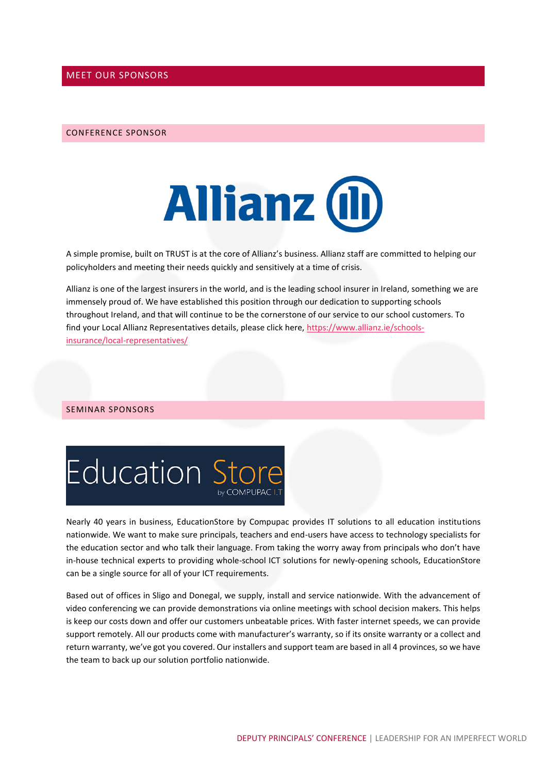### MEET OUR SPONSORS

#### CONFERENCE SPONSOR



A simple promise, built on TRUST is at the core of Allianz's business. Allianz staff are committed to helping our policyholders and meeting their needs quickly and sensitively at a time of crisis.

Allianz is one of the largest insurers in the world, and is the leading school insurer in Ireland, something we are immensely proud of. We have established this position through our dedication to supporting schools throughout Ireland, and that will continue to be the cornerstone of our service to our school customers. To find your Local Allianz Representatives details, please click here, [https://www.allianz.ie/schools](https://www.allianz.ie/schools-insurance/local-representatives/)[insurance/local-representatives/](https://www.allianz.ie/schools-insurance/local-representatives/)

#### SEMINAR SPONSORS



Nearly 40 years in business, EducationStore by Compupac provides IT solutions to all education institutions nationwide. We want to make sure principals, teachers and end-users have access to technology specialists for the education sector and who talk their language. From taking the worry away from principals who don't have in-house technical experts to providing whole-school ICT solutions for newly-opening schools, EducationStore can be a single source for all of your ICT requirements.

Based out of offices in Sligo and Donegal, we supply, install and service nationwide. With the advancement of video conferencing we can provide demonstrations via online meetings with school decision makers. This helps is keep our costs down and offer our customers unbeatable prices. With faster internet speeds, we can provide support remotely. All our products come with manufacturer's warranty, so if its onsite warranty or a collect and return warranty, we've got you covered. Our installers and support team are based in all 4 provinces, so we have the team to back up our solution portfolio nationwide.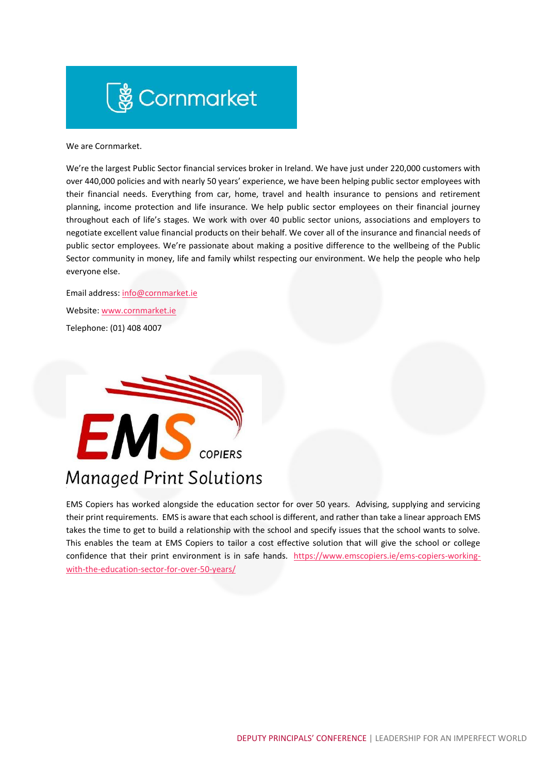# **まんの Cornmarket**

We are Cornmarket.

We're the largest Public Sector financial services broker in Ireland. We have just under 220,000 customers with over 440,000 policies and with nearly 50 years' experience, we have been helping public sector employees with their financial needs. Everything from car, home, travel and health insurance to pensions and retirement planning, income protection and life insurance. We help public sector employees on their financial journey throughout each of life's stages. We work with over 40 public sector unions, associations and employers to negotiate excellent value financial products on their behalf. We cover all of the insurance and financial needs of public sector employees. We're passionate about making a positive difference to the wellbeing of the Public Sector community in money, life and family whilst respecting our environment. We help the people who help everyone else.

Email address: [info@cornmarket.ie](mailto:info@cornmarket.ie) Website[: www.cornmarket.ie](http://www.cornmarket.ie/) Telephone: (01) 408 4007



## **Managed Print Solutions**

EMS Copiers has worked alongside the education sector for over 50 years. Advising, supplying and servicing their print requirements. EMS is aware that each school is different, and rather than take a linear approach EMS takes the time to get to build a relationship with the school and specify issues that the school wants to solve. This enables the team at EMS Copiers to tailor a cost effective solution that will give the school or college confidence that their print environment is in safe hands. [https://www.emscopiers.ie/ems-copiers-working](https://www.emscopiers.ie/ems-copiers-working-with-the-education-sector-for-over-50-years/)[with-the-education-sector-for-over-50-years/](https://www.emscopiers.ie/ems-copiers-working-with-the-education-sector-for-over-50-years/)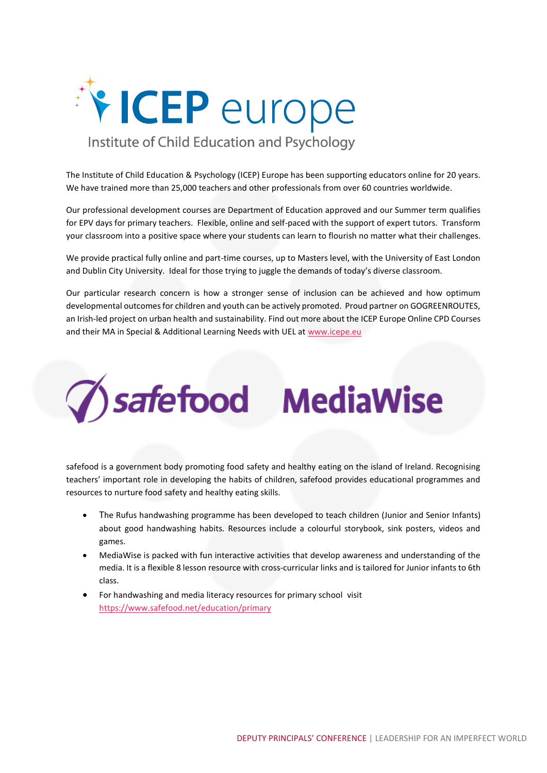

The Institute of Child Education & Psychology (ICEP) Europe has been supporting educators online for 20 years. We have trained more than 25,000 teachers and other professionals from over 60 countries worldwide.

Our professional development courses are Department of Education approved and our Summer term qualifies for EPV days for primary teachers. Flexible, online and self-paced with the support of expert tutors. Transform your classroom into a positive space where your students can learn to flourish no matter what their challenges.

We provide practical fully online and part-time courses, up to Masters level, with the University of East London and Dublin City University. Ideal for those trying to juggle the demands of today's diverse classroom.

Our particular research concern is how a stronger sense of inclusion can be achieved and how optimum developmental outcomes for children and youth can be actively promoted. Proud partner on GOGREENROUTES, an Irish-led project on urban health and sustainability. Find out more about the ICEP Europe Online CPD Courses and their MA in Special & Additional Learning Needs with UEL at www.icepe.eu



safefood is a government body promoting food safety and healthy eating on the island of Ireland. Recognising teachers' important role in developing the habits of children, safefood provides educational programmes and resources to nurture food safety and healthy eating skills.

- The Rufus handwashing programme has been developed to teach children (Junior and Senior Infants) about good handwashing habits. Resources include a colourful storybook, sink posters, videos and games.
- MediaWise is packed with fun interactive activities that develop awareness and understanding of the media. It is a flexible 8 lesson resource with cross-curricular links and is tailored for Junior infants to 6th class.
- For handwashing and media literacy resources for primary school visit <https://www.safefood.net/education/primary>